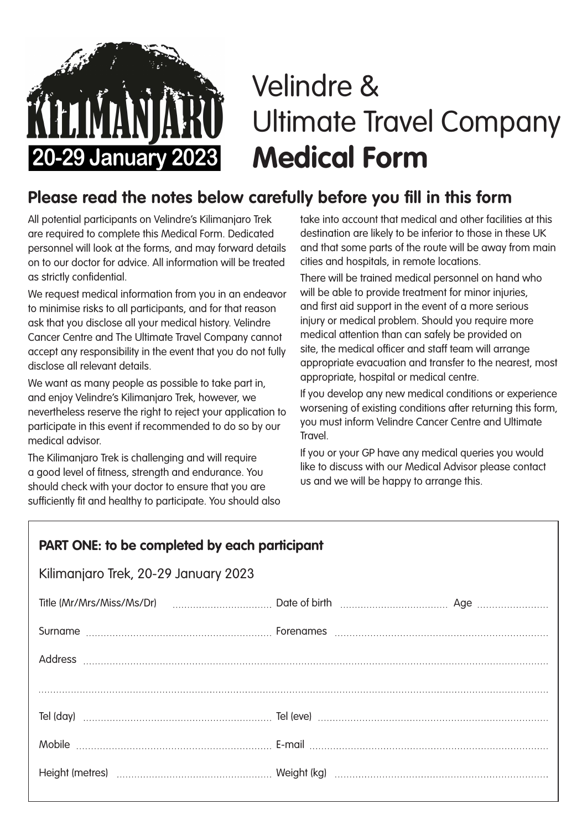## Velindre & Ultimate Travel Company **Medical Form**

## **Please read the notes below carefully before you fill in this form**

All potential participants on Velindre's Kilimanjaro Trek are required to complete this Medical Form. Dedicated personnel will look at the forms, and may forward details on to our doctor for advice. All information will be treated as strictly confidential.

**20-29 January 2023** 

We request medical information from you in an endeavor to minimise risks to all participants, and for that reason ask that you disclose all your medical history. Velindre Cancer Centre and The Ultimate Travel Company cannot accept any responsibility in the event that you do not fully disclose all relevant details.

We want as many people as possible to take part in, and enjoy Velindre's Kilimanjaro Trek, however, we nevertheless reserve the right to reject your application to participate in this event if recommended to do so by our medical advisor.

The Kilimanjaro Trek is challenging and will require a good level of fitness, strength and endurance. You should check with your doctor to ensure that you are sufficiently fit and healthy to participate. You should also take into account that medical and other facilities at this destination are likely to be inferior to those in these UK and that some parts of the route will be away from main cities and hospitals, in remote locations.

There will be trained medical personnel on hand who will be able to provide treatment for minor injuries, and first aid support in the event of a more serious injury or medical problem. Should you require more medical attention than can safely be provided on site, the medical officer and staff team will arrange appropriate evacuation and transfer to the nearest, most appropriate, hospital or medical centre.

If you develop any new medical conditions or experience worsening of existing conditions after returning this form, you must inform Velindre Cancer Centre and Ultimate Travel.

If you or your GP have any medical queries you would like to discuss with our Medical Advisor please contact us and we will be happy to arrange this.

| PART ONE: to be completed by each participant |                                                                                                                          |  |  |
|-----------------------------------------------|--------------------------------------------------------------------------------------------------------------------------|--|--|
| Kilimanjaro Trek, 20-29 January 2023          |                                                                                                                          |  |  |
|                                               | Title (Mr/Mrs/Miss/Ms/Dr) <b>Marting Little Strategy Control</b> Date of birth <b>Marting Little</b> (Mr/Mrs/Miss/Ms/Dr) |  |  |
|                                               |                                                                                                                          |  |  |
|                                               |                                                                                                                          |  |  |
|                                               |                                                                                                                          |  |  |
|                                               |                                                                                                                          |  |  |
|                                               |                                                                                                                          |  |  |
|                                               |                                                                                                                          |  |  |
|                                               |                                                                                                                          |  |  |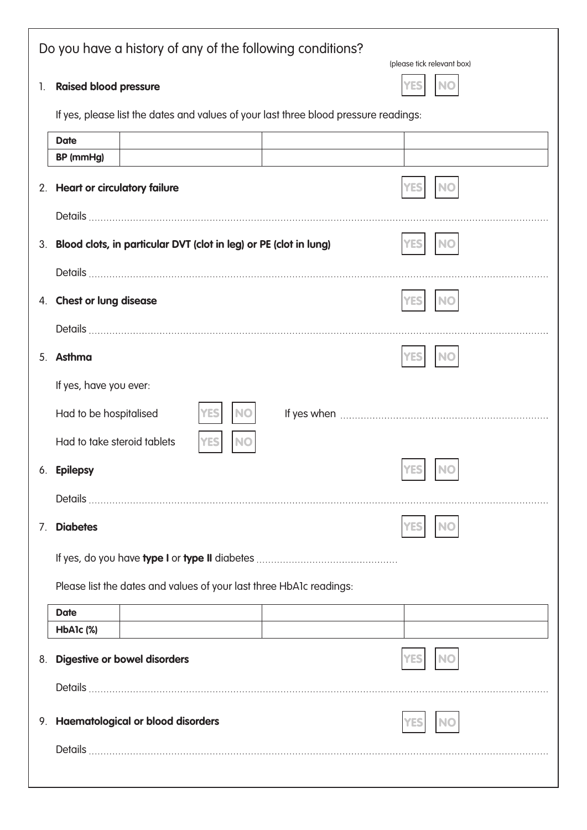| Do you have a history of any of the following conditions?<br>(please tick relevant box) |                                                                                      |            |  |
|-----------------------------------------------------------------------------------------|--------------------------------------------------------------------------------------|------------|--|
| 1.                                                                                      | <b>Raised blood pressure</b>                                                         |            |  |
|                                                                                         | If yes, please list the dates and values of your last three blood pressure readings: |            |  |
|                                                                                         | <b>Date</b>                                                                          |            |  |
|                                                                                         | BP (mmHg)                                                                            |            |  |
|                                                                                         | 2. Heart or circulatory failure                                                      |            |  |
|                                                                                         |                                                                                      |            |  |
|                                                                                         | 3. Blood clots, in particular DVT (clot in leg) or PE (clot in lung)                 |            |  |
|                                                                                         |                                                                                      |            |  |
|                                                                                         | 4. Chest or lung disease                                                             |            |  |
|                                                                                         |                                                                                      |            |  |
|                                                                                         | 5. Asthma                                                                            |            |  |
|                                                                                         | If yes, have you ever:                                                               |            |  |
|                                                                                         | Had to be hospitalised                                                               |            |  |
|                                                                                         | Had to take steroid tablets                                                          |            |  |
|                                                                                         | 6. Epilepsy                                                                          | <b>YES</b> |  |
|                                                                                         |                                                                                      |            |  |
| $7_{\cdot}$                                                                             | <b>Diabetes</b>                                                                      |            |  |
|                                                                                         |                                                                                      |            |  |
|                                                                                         | Please list the dates and values of your last three HbA1c readings:                  |            |  |
|                                                                                         | <b>Date</b>                                                                          |            |  |
|                                                                                         | HbA1c (%)                                                                            |            |  |
| 8.                                                                                      | <b>Digestive or bowel disorders</b>                                                  |            |  |
|                                                                                         |                                                                                      |            |  |
|                                                                                         | 9. Haematological or blood disorders                                                 |            |  |
|                                                                                         |                                                                                      |            |  |
|                                                                                         |                                                                                      |            |  |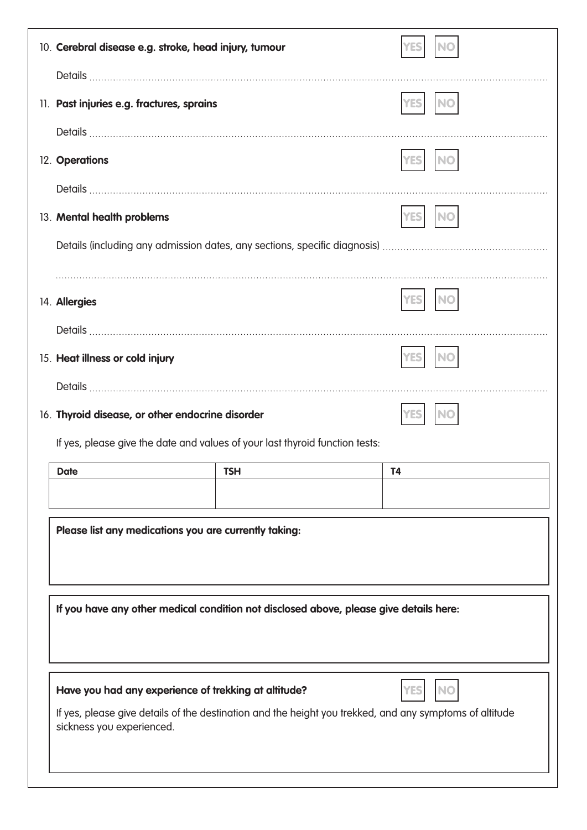| 11. Past injuries e.g. fractures, sprains<br>12. Operations<br>13. Mental health problems<br>14. Allergies<br>15. Heat illness or cold injury<br>16. Thyroid disease, or other endocrine disorder<br>If yes, please give the date and values of your last thyroid function tests:<br>$\overline{14}$<br>$\parallel$ TSH<br><b>Date</b><br>Please list any medications you are currently taking:<br>If you have any other medical condition not disclosed above, please give details here:<br>Have you had any experience of trekking at altitude?<br>If yes, please give details of the destination and the height you trekked, and any symptoms of altitude<br>sickness you experienced. |  | 10. Cerebral disease e.g. stroke, head injury, tumour |  |  |  |
|-------------------------------------------------------------------------------------------------------------------------------------------------------------------------------------------------------------------------------------------------------------------------------------------------------------------------------------------------------------------------------------------------------------------------------------------------------------------------------------------------------------------------------------------------------------------------------------------------------------------------------------------------------------------------------------------|--|-------------------------------------------------------|--|--|--|
|                                                                                                                                                                                                                                                                                                                                                                                                                                                                                                                                                                                                                                                                                           |  |                                                       |  |  |  |
|                                                                                                                                                                                                                                                                                                                                                                                                                                                                                                                                                                                                                                                                                           |  |                                                       |  |  |  |
|                                                                                                                                                                                                                                                                                                                                                                                                                                                                                                                                                                                                                                                                                           |  |                                                       |  |  |  |
|                                                                                                                                                                                                                                                                                                                                                                                                                                                                                                                                                                                                                                                                                           |  |                                                       |  |  |  |
|                                                                                                                                                                                                                                                                                                                                                                                                                                                                                                                                                                                                                                                                                           |  |                                                       |  |  |  |
|                                                                                                                                                                                                                                                                                                                                                                                                                                                                                                                                                                                                                                                                                           |  |                                                       |  |  |  |
|                                                                                                                                                                                                                                                                                                                                                                                                                                                                                                                                                                                                                                                                                           |  |                                                       |  |  |  |
|                                                                                                                                                                                                                                                                                                                                                                                                                                                                                                                                                                                                                                                                                           |  |                                                       |  |  |  |
|                                                                                                                                                                                                                                                                                                                                                                                                                                                                                                                                                                                                                                                                                           |  |                                                       |  |  |  |
|                                                                                                                                                                                                                                                                                                                                                                                                                                                                                                                                                                                                                                                                                           |  |                                                       |  |  |  |
|                                                                                                                                                                                                                                                                                                                                                                                                                                                                                                                                                                                                                                                                                           |  |                                                       |  |  |  |
|                                                                                                                                                                                                                                                                                                                                                                                                                                                                                                                                                                                                                                                                                           |  |                                                       |  |  |  |
|                                                                                                                                                                                                                                                                                                                                                                                                                                                                                                                                                                                                                                                                                           |  |                                                       |  |  |  |
|                                                                                                                                                                                                                                                                                                                                                                                                                                                                                                                                                                                                                                                                                           |  |                                                       |  |  |  |
|                                                                                                                                                                                                                                                                                                                                                                                                                                                                                                                                                                                                                                                                                           |  |                                                       |  |  |  |
|                                                                                                                                                                                                                                                                                                                                                                                                                                                                                                                                                                                                                                                                                           |  |                                                       |  |  |  |
|                                                                                                                                                                                                                                                                                                                                                                                                                                                                                                                                                                                                                                                                                           |  |                                                       |  |  |  |
|                                                                                                                                                                                                                                                                                                                                                                                                                                                                                                                                                                                                                                                                                           |  |                                                       |  |  |  |
|                                                                                                                                                                                                                                                                                                                                                                                                                                                                                                                                                                                                                                                                                           |  |                                                       |  |  |  |
|                                                                                                                                                                                                                                                                                                                                                                                                                                                                                                                                                                                                                                                                                           |  |                                                       |  |  |  |